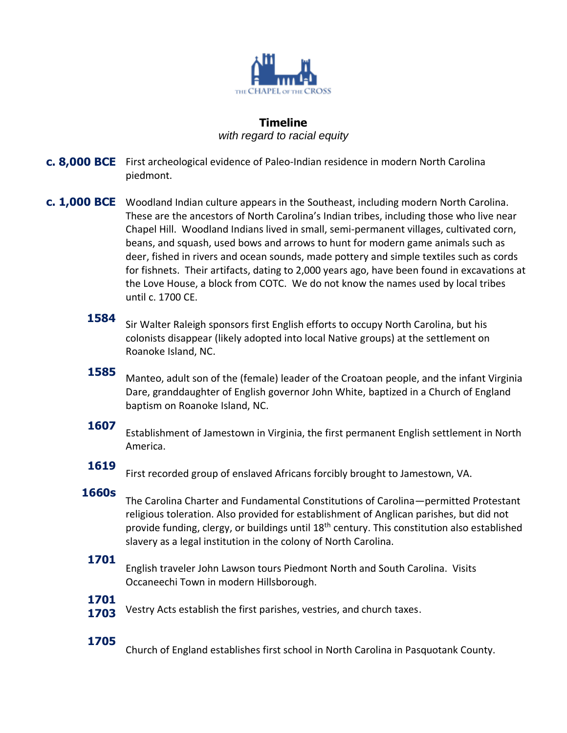

# **Timeline**

*with regard to racial equity*

- **c. 8,000 BCE** First archeological evidence of Paleo-Indian residence in modern North Carolina piedmont.
- **c. 1,000 BCE** Woodland Indian culture appears in the Southeast, including modern North Carolina. These are the ancestors of North Carolina's Indian tribes, including those who live near Chapel Hill. Woodland Indians lived in small, semi-permanent villages, cultivated corn, beans, and squash, used bows and arrows to hunt for modern game animals such as deer, fished in rivers and ocean sounds, made pottery and simple textiles such as cords for fishnets. Their artifacts, dating to 2,000 years ago, have been found in excavations at the Love House, a block from COTC. We do not know the names used by local tribes until c. 1700 CE.
	- **1584** Sir Walter Raleigh sponsors first English efforts to occupy North Carolina, but his colonists disappear (likely adopted into local Native groups) at the settlement on Roanoke Island, NC.

### **1585**

Manteo, adult son of the (female) leader of the Croatoan people, and the infant Virginia Dare, granddaughter of English governor John White, baptized in a Church of England baptism on Roanoke Island, NC.

### **1607**

Establishment of Jamestown in Virginia, the first permanent English settlement in North America.

### **1619**

First recorded group of enslaved Africans forcibly brought to Jamestown, VA.

### **1660s**

The Carolina Charter and Fundamental Constitutions of Carolina—permitted Protestant religious toleration. Also provided for establishment of Anglican parishes, but did not provide funding, clergy, or buildings until 18th century. This constitution also established slavery as a legal institution in the colony of North Carolina.

### **1701**

English traveler John Lawson tours Piedmont North and South Carolina. Visits Occaneechi Town in modern Hillsborough.

### **1701**

**1703** Vestry Acts establish the first parishes, vestries, and church taxes.

## **1705**

Church of England establishes first school in North Carolina in Pasquotank County.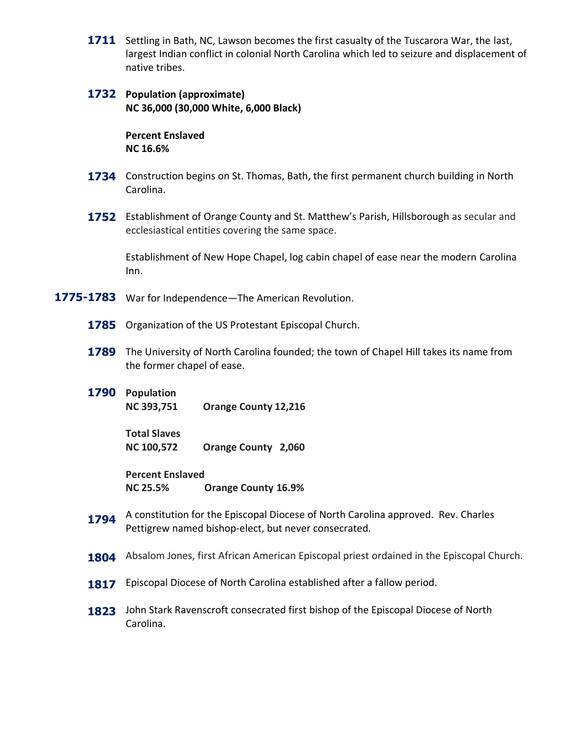- 1711 Settling in Bath, NC, Lawson becomes the first casualty of the Tuscarora War, the last, largest Indian conflict in colonial North Carolina which led to seizure and displacement of native tribes.
- **1732 Population (approximate) NC 36,000 (30,000 White, 6,000 Black)**

**Percent Enslaved NC 16.6%**

- 1734 Construction begins on St. Thomas, Bath, the first permanent church building in North Carolina.
- 1752 Establishment of Orange County and St. Matthew's Parish, Hillsborough as secular and ecclesiastical entities covering the same space.

Establishment of New Hope Chapel, log cabin chapel of ease near the modern Carolina Inn.

- **1775-1783** War for Independence—The American Revolution.
	- **1785** Organization of the US Protestant Episcopal Church.
	- **1789** The University of North Carolina founded; the town of Chapel Hill takes its name from the former chapel of ease.
	- **1790 Population NC 393,751 Orange County 12,216**

**Total Slaves NC 100,572 Orange County 2,060**

**Percent Enslaved NC 25.5% Orange County 16.9%**

- **1794** A constitution for the Episcopal Diocese of North Carolina approved. Rev. Charles Pettigrew named bishop-elect, but never consecrated.
- **1804** Absalom Jones, first African American Episcopal priest ordained in the Episcopal Church.
- **1817** Episcopal Diocese of North Carolina established after a fallow period.
- **1823** John Stark Ravenscroft consecrated first bishop of the Episcopal Diocese of North Carolina.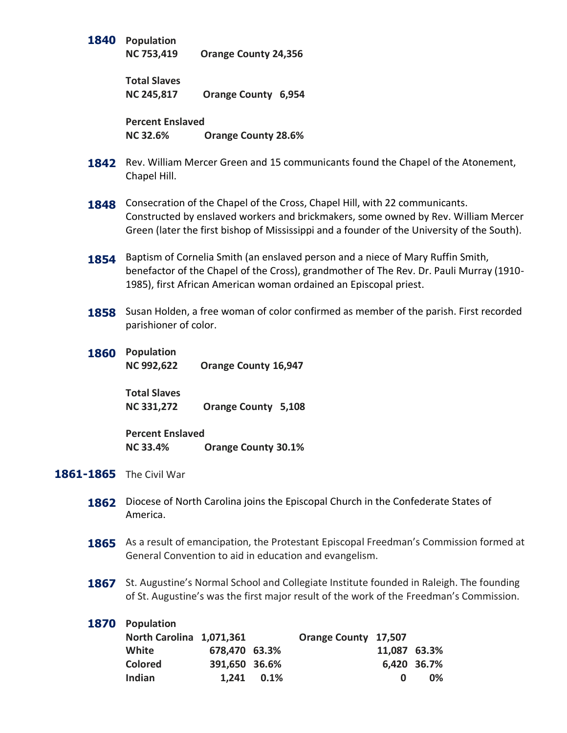**1840 Population**

**NC 753,419 Orange County 24,356**

**Total Slaves NC 245,817 Orange County 6,954**

**Percent Enslaved NC 32.6% Orange County 28.6%**

- **1842** Rev. William Mercer Green and 15 communicants found the Chapel of the Atonement, Chapel Hill.
- 1848 Consecration of the Chapel of the Cross, Chapel Hill, with 22 communicants. Constructed by enslaved workers and brickmakers, some owned by Rev. William Mercer Green (later the first bishop of Mississippi and a founder of the University of the South).
- **1854** Baptism of Cornelia Smith (an enslaved person and a niece of Mary Ruffin Smith, benefactor of the Chapel of the Cross), grandmother of The Rev. Dr. Pauli Murray (1910- 1985), first African American woman ordained an Episcopal priest.
- 1858 Susan Holden, a free woman of color confirmed as member of the parish. First recorded parishioner of color.
- **1860 Population NC 992,622 Orange County 16,947**

**Total Slaves NC 331,272 Orange County 5,108**

**Percent Enslaved NC 33.4% Orange County 30.1%**

- **1861-1865** The Civil War
	- **1862** Diocese of North Carolina joins the Episcopal Church in the Confederate States of America.
	- **1865** As a result of emancipation, the Protestant Episcopal Freedman's Commission formed at General Convention to aid in education and evangelism.
	- 1867 St. Augustine's Normal School and Collegiate Institute founded in Raleigh. The founding of St. Augustine's was the first major result of the work of the Freedman's Commission.

| 1870 Population          |               |              |                      |              |             |
|--------------------------|---------------|--------------|----------------------|--------------|-------------|
| North Carolina 1,071,361 |               |              | Orange County 17,507 |              |             |
| White                    | 678,470 63.3% |              |                      | 11,087 63.3% |             |
| <b>Colored</b>           | 391,650 36.6% |              |                      |              | 6,420 36.7% |
| Indian                   |               | $1.241$ 0.1% |                      | 0            | 0%          |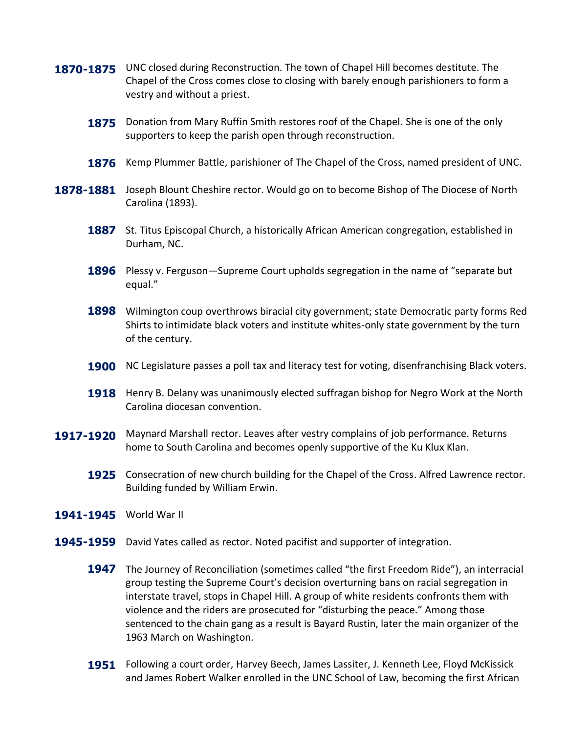- 1870-1875 UNC closed during Reconstruction. The town of Chapel Hill becomes destitute. The Chapel of the Cross comes close to closing with barely enough parishioners to form a vestry and without a priest.
	- **1875** Donation from Mary Ruffin Smith restores roof of the Chapel. She is one of the only supporters to keep the parish open through reconstruction.
	- **1876** Kemp Plummer Battle, parishioner of The Chapel of the Cross, named president of UNC.
- 1878-1881 Joseph Blount Cheshire rector. Would go on to become Bishop of The Diocese of North Carolina (1893).
	- 1887 St. Titus Episcopal Church, a historically African American congregation, established in Durham, NC.
	- 1896 Plessy v. Ferguson—Supreme Court upholds segregation in the name of "separate but equal."
	- 1898 Wilmington coup overthrows biracial city government; state Democratic party forms Red Shirts to intimidate black voters and institute whites-only state government by the turn of the century.
	- 1900 NC Legislature passes a poll tax and literacy test for voting, disenfranchising Black voters.
	- **1918** Henry B. Delany was unanimously elected suffragan bishop for Negro Work at the North Carolina diocesan convention.
- 1917-1920 Maynard Marshall rector. Leaves after vestry complains of job performance. Returns home to South Carolina and becomes openly supportive of the Ku Klux Klan.
	- **1925** Consecration of new church building for the Chapel of the Cross. Alfred Lawrence rector. Building funded by William Erwin.
- **1941-1945** World War II
- 1945-1959 David Yates called as rector. Noted pacifist and supporter of integration.
	- 1947 The Journey of Reconciliation (sometimes called "the first Freedom Ride"), an interracial group testing the Supreme Court's decision overturning bans on racial segregation in interstate travel, stops in Chapel Hill. A group of white residents confronts them with violence and the riders are prosecuted for "disturbing the peace." Among those sentenced to the chain gang as a result is Bayard Rustin, later the main organizer of the 1963 March on Washington.
	- 1951 Following a court order, Harvey Beech, James Lassiter, J. Kenneth Lee, Floyd McKissick and James Robert Walker enrolled in the UNC School of Law, becoming the first African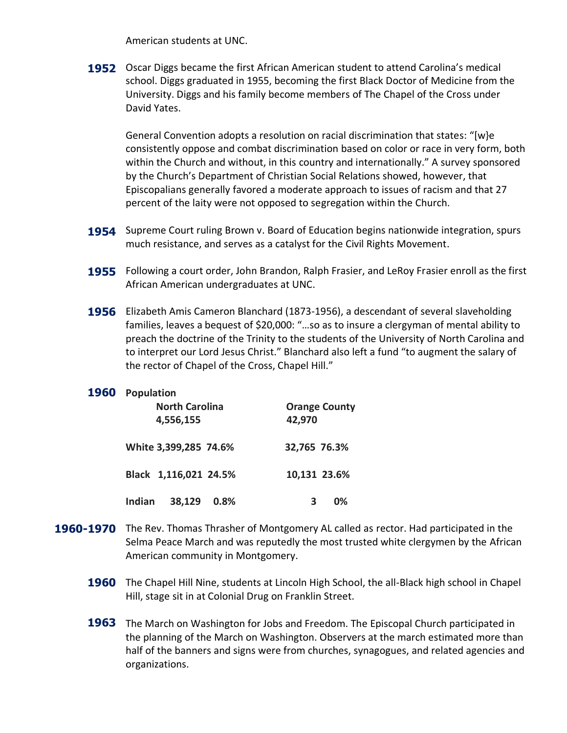American students at UNC.

1952 Oscar Diggs became the first African American student to attend Carolina's medical school. Diggs graduated in 1955, becoming the first Black Doctor of Medicine from the University. Diggs and his family become members of The Chapel of the Cross under David Yates.

General Convention adopts a resolution on racial discrimination that states: "[w}e consistently oppose and combat discrimination based on color or race in very form, both within the Church and without, in this country and internationally." A survey sponsored by the Church's Department of Christian Social Relations showed, however, that Episcopalians generally favored a moderate approach to issues of racism and that 27 percent of the laity were not opposed to segregation within the Church.

- 1954 Supreme Court ruling Brown v. Board of Education begins nationwide integration, spurs much resistance, and serves as a catalyst for the Civil Rights Movement.
- 1955 Following a court order, John Brandon, Ralph Frasier, and LeRoy Frasier enroll as the first African American undergraduates at UNC.
- 1956 Elizabeth Amis Cameron Blanchard (1873-1956), a descendant of several slaveholding families, leaves a bequest of \$20,000: "…so as to insure a clergyman of mental ability to preach the doctrine of the Trinity to the students of the University of North Carolina and to interpret our Lord Jesus Christ." Blanchard also left a fund "to augment the salary of the rector of Chapel of the Cross, Chapel Hill."

#### **1960 Population**

| <b>North Carolina</b> | <b>Orange County</b> |
|-----------------------|----------------------|
| 4,556,155             | 42,970               |
| White 3,399,285 74.6% | 32,765 76.3%         |
| Black 1,116,021 24.5% | 10,131 23.6%         |
| 38,129 0.8%           | 0%                   |
| Indian                | З                    |

- 1960-1970 The Rev. Thomas Thrasher of Montgomery AL called as rector. Had participated in the Selma Peace March and was reputedly the most trusted white clergymen by the African American community in Montgomery.
	- 1960 The Chapel Hill Nine, students at Lincoln High School, the all-Black high school in Chapel Hill, stage sit in at Colonial Drug on Franklin Street.
	- 1963 The March on Washington for Jobs and Freedom. The Episcopal Church participated in the planning of the March on Washington. Observers at the march estimated more than half of the banners and signs were from churches, synagogues, and related agencies and organizations.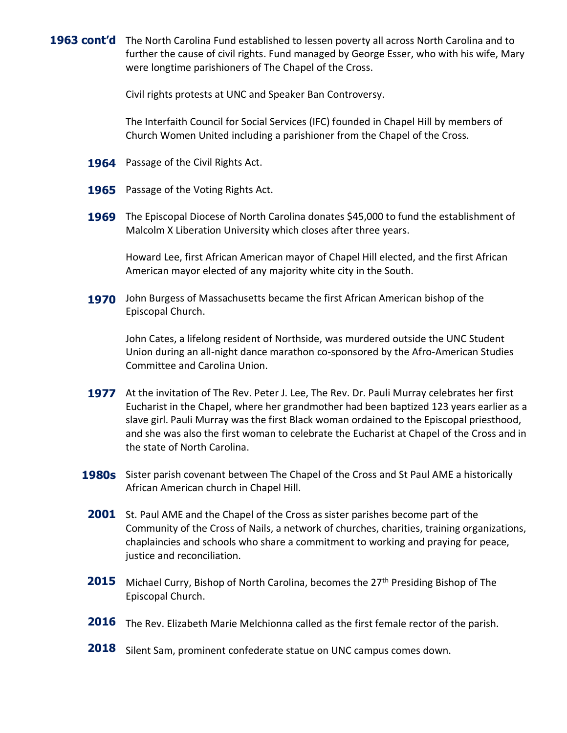1963 cont'd The North Carolina Fund established to lessen poverty all across North Carolina and to further the cause of civil rights. Fund managed by George Esser, who with his wife, Mary were longtime parishioners of The Chapel of the Cross.

Civil rights protests at UNC and Speaker Ban Controversy.

The Interfaith Council for Social Services (IFC) founded in Chapel Hill by members of Church Women United including a parishioner from the Chapel of the Cross.

- 1964 Passage of the Civil Rights Act.
- **1965** Passage of the Voting Rights Act.
- **1969** The Episcopal Diocese of North Carolina donates \$45,000 to fund the establishment of Malcolm X Liberation University which closes after three years.

Howard Lee, first African American mayor of Chapel Hill elected, and the first African American mayor elected of any majority white city in the South.

**1970** John Burgess of Massachusetts became the first African American bishop of the Episcopal Church.

John Cates, a lifelong resident of Northside, was murdered outside the UNC Student Union during an all-night dance marathon co-sponsored by the Afro-American Studies Committee and Carolina Union.

- 1977 At the invitation of The Rev. Peter J. Lee, The Rev. Dr. Pauli Murray celebrates her first Eucharist in the Chapel, where her grandmother had been baptized 123 years earlier as a slave girl. Pauli Murray was the first Black woman ordained to the Episcopal priesthood, and she was also the first woman to celebrate the Eucharist at Chapel of the Cross and in the state of North Carolina.
- 1980s Sister parish covenant between The Chapel of the Cross and St Paul AME a historically African American church in Chapel Hill.
- 2001 St. Paul AME and the Chapel of the Cross as sister parishes become part of the Community of the Cross of Nails, a network of churches, charities, training organizations, chaplaincies and schools who share a commitment to working and praying for peace, justice and reconciliation.
- **2015** Michael Curry, Bishop of North Carolina, becomes the 27<sup>th</sup> Presiding Bishop of The Episcopal Church.
	- 2016 The Rev. Elizabeth Marie Melchionna called as the first female rector of the parish.
	- **2018** Silent Sam, prominent confederate statue on UNC campus comes down.